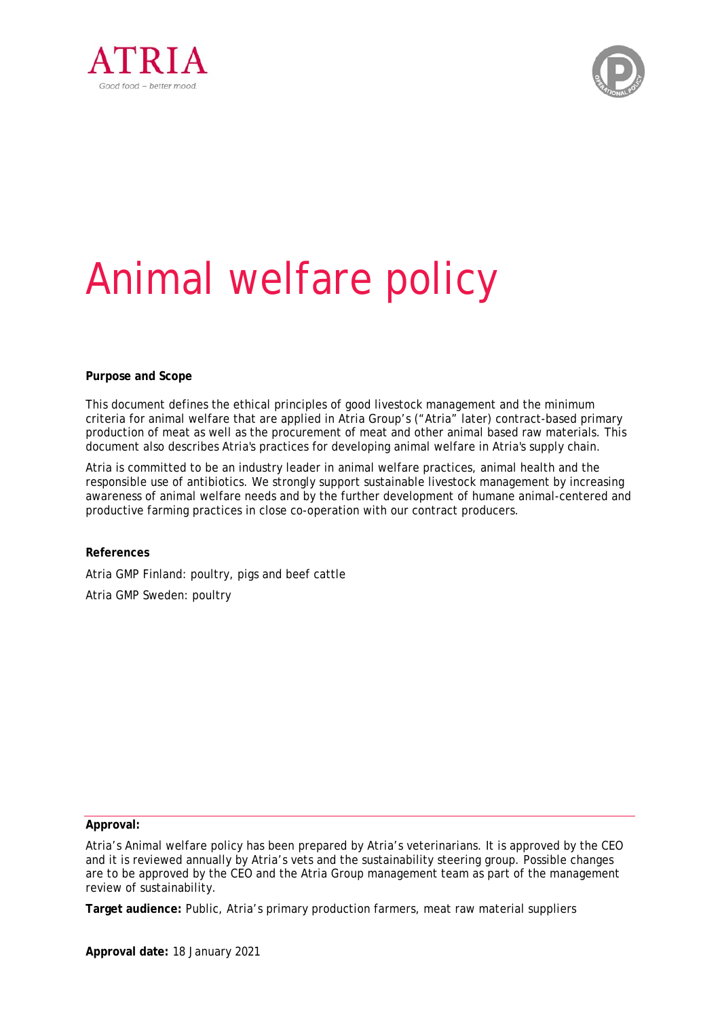



# Animal welfare policy

#### **Purpose and Scope**

This document defines the ethical principles of good livestock management and the minimum criteria for animal welfare that are applied in Atria Group's ("Atria" later) contract-based primary production of meat as well as the procurement of meat and other animal based raw materials. This document also describes Atria's practices for developing animal welfare in Atria's supply chain.

Atria is committed to be an industry leader in animal welfare practices, animal health and the responsible use of antibiotics. We strongly support sustainable livestock management by increasing awareness of animal welfare needs and by the further development of humane animal-centered and productive farming practices in close co-operation with our contract producers.

**References** Atria GMP Finland: poultry, pigs and beef cattle Atria GMP Sweden: poultry

**Approval:** 

Atria's Animal welfare policy has been prepared by Atria's veterinarians. It is approved by the CEO and it is reviewed annually by Atria's vets and the sustainability steering group. Possible changes are to be approved by the CEO and the Atria Group management team as part of the management review of sustainability.

**Target audience:** Public, Atria's primary production farmers, meat raw material suppliers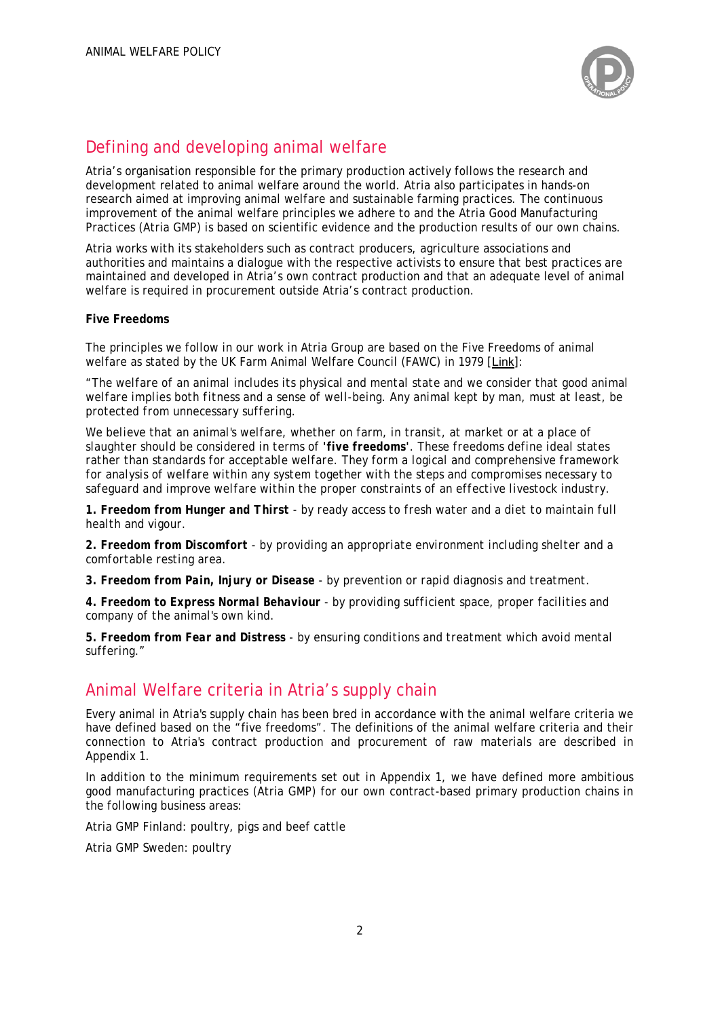

# Defining and developing animal welfare

Atria's organisation responsible for the primary production actively follows the research and development related to animal welfare around the world. Atria also participates in hands-on research aimed at improving animal welfare and sustainable farming practices. The continuous improvement of the animal welfare principles we adhere to and the Atria Good Manufacturing Practices (Atria GMP) is based on scientific evidence and the production results of our own chains.

Atria works with its stakeholders such as contract producers, agriculture associations and authorities and maintains a dialogue with the respective activists to ensure that best practices are maintained and developed in Atria's own contract production and that an adequate level of animal welfare is required in procurement outside Atria's contract production.

#### **Five Freedoms**

The principles we follow in our work in Atria Group are based on the Five Freedoms of animal welfare as stated by the UK Farm Animal Welfare Council (FAWC) in 1979 [Link]:

*"The welfare of an animal includes its physical and mental state and we consider that good animal welfare implies both fitness and a sense of well-being. Any animal kept by man, must at least, be protected from unnecessary suffering.* 

*We believe that an animal's welfare, whether on farm, in transit, at market or at a place of slaughter should be considered in terms of 'five freedoms'. These freedoms define ideal states rather than standards for acceptable welfare. They form a logical and comprehensive framework for analysis of welfare within any system together with the steps and compromises necessary to safeguard and improve welfare within the proper constraints of an effective livestock industry.* 

*1. Freedom from Hunger and Thirst - by ready access to fresh water and a diet to maintain full health and vigour.* 

*2. Freedom from Discomfort - by providing an appropriate environment including shelter and a comfortable resting area.* 

*3. Freedom from Pain, Injury or Disease - by prevention or rapid diagnosis and treatment.* 

*4. Freedom to Express Normal Behaviour - by providing sufficient space, proper facilities and company of the animal's own kind.* 

*5. Freedom from Fear and Distress - by ensuring conditions and treatment which avoid mental suffering."* 

# Animal Welfare criteria in Atria's supply chain

Every animal in Atria's supply chain has been bred in accordance with the animal welfare criteria we have defined based on the "five freedoms". The definitions of the animal welfare criteria and their connection to Atria's contract production and procurement of raw materials are described in Appendix 1.

In addition to the minimum requirements set out in Appendix 1, we have defined more ambitious good manufacturing practices (Atria GMP) for our own contract-based primary production chains in the following business areas:

Atria GMP Finland: poultry, pigs and beef cattle

Atria GMP Sweden: poultry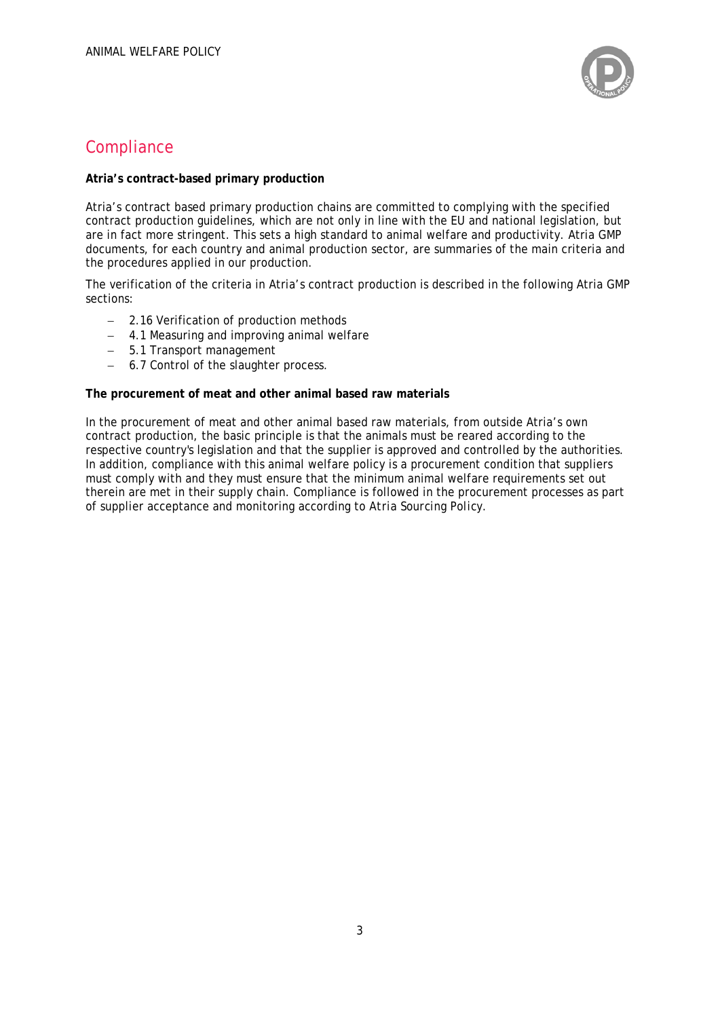

# **Compliance**

#### **Atria's contract-based primary production**

Atria's contract based primary production chains are committed to complying with the specified contract production guidelines, which are not only in line with the EU and national legislation, but are in fact more stringent. This sets a high standard to animal welfare and productivity. Atria GMP documents, for each country and animal production sector, are summaries of the main criteria and the procedures applied in our production.

The verification of the criteria in Atria's contract production is described in the following Atria GMP sections:

- 2.16 Verification of production methods
- 4.1 Measuring and improving animal welfare
- 5.1 Transport management
- 6.7 Control of the slaughter process.

#### **The procurement of meat and other animal based raw materials**

In the procurement of meat and other animal based raw materials, from outside Atria's own contract production, the basic principle is that the animals must be reared according to the respective country's legislation and that the supplier is approved and controlled by the authorities. In addition, compliance with this animal welfare policy is a procurement condition that suppliers must comply with and they must ensure that the minimum animal welfare requirements set out therein are met in their supply chain. Compliance is followed in the procurement processes as part of supplier acceptance and monitoring according to *Atria Sourcing Policy*.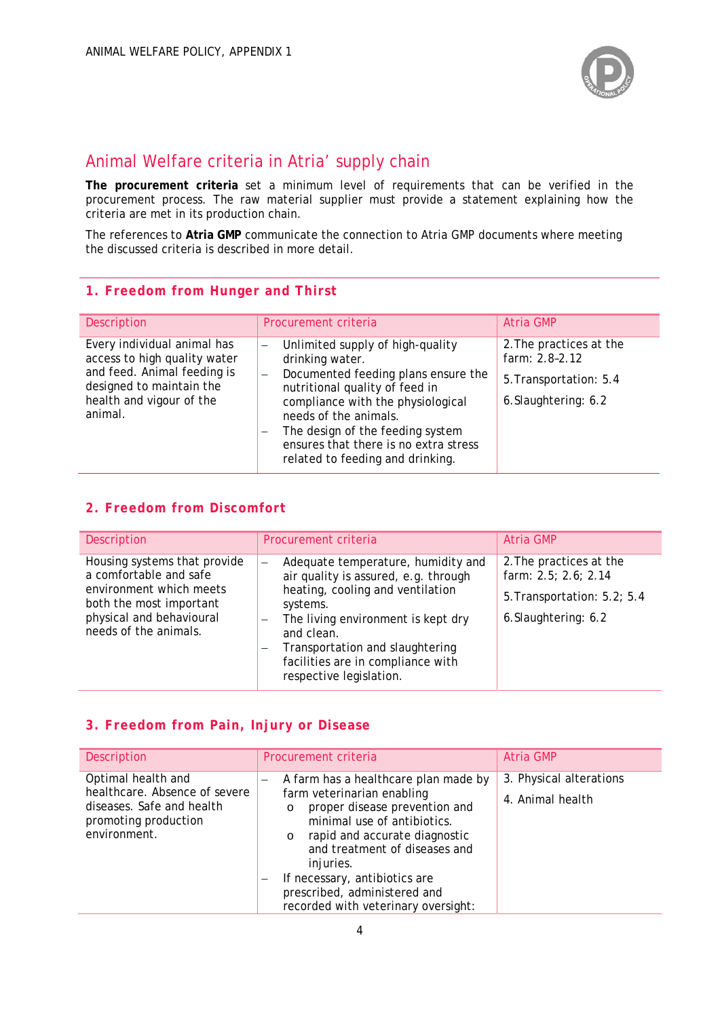

# Animal Welfare criteria in Atria' supply chain

**The procurement criteria** set a minimum level of requirements that can be verified in the procurement process. The raw material supplier must provide a statement explaining how the criteria are met in its production chain.

The references to **Atria GMP** communicate the connection to Atria GMP documents where meeting the discussed criteria is described in more detail.

#### **1. Freedom from Hunger and Thirst**

| Description                                                                                                                                                   | Procurement criteria                                                                                                                                                                                                                                                                                                                                                                            | <b>Atria GMP</b>                                                                            |
|---------------------------------------------------------------------------------------------------------------------------------------------------------------|-------------------------------------------------------------------------------------------------------------------------------------------------------------------------------------------------------------------------------------------------------------------------------------------------------------------------------------------------------------------------------------------------|---------------------------------------------------------------------------------------------|
| Every individual animal has<br>access to high quality water<br>and feed. Animal feeding is<br>designed to maintain the<br>health and vigour of the<br>animal. | Unlimited supply of high-quality<br>$\overline{\phantom{0}}$<br>drinking water.<br>Documented feeding plans ensure the<br>$\overline{\phantom{0}}$<br>nutritional quality of feed in<br>compliance with the physiological<br>needs of the animals.<br>The design of the feeding system<br>$\overline{\phantom{0}}$<br>ensures that there is no extra stress<br>related to feeding and drinking. | 2. The practices at the<br>farm: 2.8-2.12<br>5. Transportation: 5.4<br>6. Slaughtering: 6.2 |

### **2. Freedom from Discomfort**

| Description                                                                                                                                                       | Procurement criteria                                                                                                                                                                                                                                                                   | Atria GMP                                                                                              |
|-------------------------------------------------------------------------------------------------------------------------------------------------------------------|----------------------------------------------------------------------------------------------------------------------------------------------------------------------------------------------------------------------------------------------------------------------------------------|--------------------------------------------------------------------------------------------------------|
| Housing systems that provide<br>a comfortable and safe<br>environment which meets<br>both the most important<br>physical and behavioural<br>needs of the animals. | Adequate temperature, humidity and<br>air quality is assured, e.g. through<br>heating, cooling and ventilation<br>systems.<br>The living environment is kept dry<br>—<br>and clean.<br>Transportation and slaughtering<br>facilities are in compliance with<br>respective legislation. | 2. The practices at the<br>farm: 2.5; 2.6; 2.14<br>5. Transportation: 5.2; 5.4<br>6. Slaughtering: 6.2 |

## **3. Freedom from Pain, Injury or Disease**

| <b>Description</b>                                                                                                       | Procurement criteria                                                                                                                                                                                                                                                                                                                             | Atria GMP                                   |
|--------------------------------------------------------------------------------------------------------------------------|--------------------------------------------------------------------------------------------------------------------------------------------------------------------------------------------------------------------------------------------------------------------------------------------------------------------------------------------------|---------------------------------------------|
| Optimal health and<br>healthcare. Absence of severe<br>diseases. Safe and health<br>promoting production<br>environment. | A farm has a healthcare plan made by<br>-<br>farm veterinarian enabling<br>proper disease prevention and<br>$\circ$<br>minimal use of antibiotics.<br>o rapid and accurate diagnostic<br>and treatment of diseases and<br>injuries.<br>If necessary, antibiotics are<br>-<br>prescribed, administered and<br>recorded with veterinary oversight: | 3. Physical alterations<br>4. Animal health |